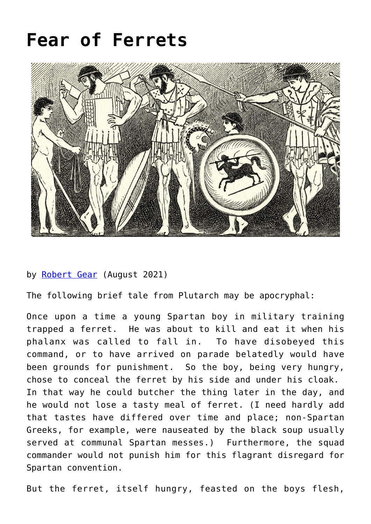## **[Fear of Ferrets](https://www.newenglishreview.org/articles/fear-of-ferrets/)**



## by [Robert Gear](https://www.newenglishreview.org/authors/robert-gear/?) (August 2021)

The following brief tale from Plutarch may be apocryphal:

Once upon a time a young Spartan boy in military training trapped a ferret. He was about to kill and eat it when his phalanx was called to fall in. To have disobeyed this command, or to have arrived on parade belatedly would have been grounds for punishment. So the boy, being very hungry, chose to conceal the ferret by his side and under his cloak. In that way he could butcher the thing later in the day, and he would not lose a tasty meal of ferret. (I need hardly add that tastes have differed over time and place; non-Spartan Greeks, for example, were nauseated by the black soup usually served at communal Spartan messes.) Furthermore, the squad commander would not punish him for this flagrant disregard for Spartan convention.

But the ferret, itself hungry, feasted on the boys flesh,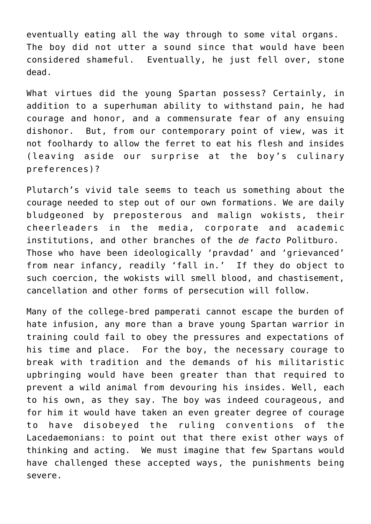eventually eating all the way through to some vital organs. The boy did not utter a sound since that would have been considered shameful. Eventually, he just fell over, stone dead.

What virtues did the young Spartan possess? Certainly, in addition to a superhuman ability to withstand pain, he had courage and honor, and a commensurate fear of any ensuing dishonor. But, from our contemporary point of view, was it not foolhardy to allow the ferret to eat his flesh and insides (leaving aside our surprise at the boy's culinary preferences)?

Plutarch's vivid tale seems to teach us something about the courage needed to step out of our own formations. We are daily bludgeoned by preposterous and malign wokists, their cheerleaders in the media, corporate and academic institutions, and other branches of the *de facto* Politburo. Those who have been ideologically 'pravdad' and 'grievanced' from near infancy, readily 'fall in.' If they do object to such coercion, the wokists will smell blood, and chastisement, cancellation and other forms of persecution will follow.

Many of the college-bred pamperati cannot escape the burden of hate infusion, any more than a brave young Spartan warrior in training could fail to obey the pressures and expectations of his time and place. For the boy, the necessary courage to break with tradition and the demands of his militaristic upbringing would have been greater than that required to prevent a wild animal from devouring his insides. Well, each to his own, as they say. The boy was indeed courageous, and for him it would have taken an even greater degree of courage to have disobeyed the ruling conventions of the Lacedaemonians: to point out that there exist other ways of thinking and acting. We must imagine that few Spartans would have challenged these accepted ways, the punishments being severe.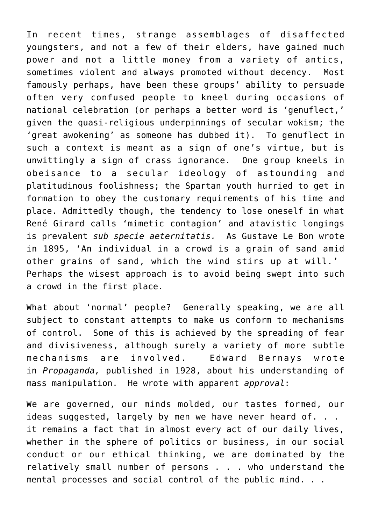In recent times, strange assemblages of disaffected youngsters, and not a few of their elders, have gained much power and not a little money from a variety of antics, sometimes violent and always promoted without decency. Most famously perhaps, have been these groups' ability to persuade often very confused people to kneel during occasions of national celebration (or perhaps a better word is 'genuflect,' given the quasi-religious underpinnings of secular wokism; the 'great awokening' as someone has dubbed it). To genuflect in such a context is meant as a sign of one's virtue, but is unwittingly a sign of crass ignorance. One group kneels in obeisance to a secular ideology of astounding and platitudinous foolishness; the Spartan youth hurried to get in formation to obey the customary requirements of his time and place. Admittedly though, the tendency to lose oneself in what René Girard calls 'mimetic contagion' and atavistic longings is prevalent *sub specie aeternitatis.* As Gustave Le Bon wrote in 1895, 'An individual in a crowd is a grain of sand amid other grains of sand, which the wind stirs up at will.' Perhaps the wisest approach is to avoid being swept into such a crowd in the first place.

What about 'normal' people? Generally speaking, we are all subject to constant attempts to make us conform to mechanisms of control. Some of this is achieved by the spreading of fear and divisiveness, although surely a variety of more subtle mechanisms are involved. Edward Bernays wrote in *Propaganda,* published in 1928, about his understanding of mass manipulation. He wrote with apparent *approval*:

We are governed, our minds molded, our tastes formed, our ideas suggested, largely by men we have never heard of. . . it remains a fact that in almost every act of our daily lives, whether in the sphere of politics or business, in our social conduct or our ethical thinking, we are dominated by the relatively small number of persons . . . who understand the mental processes and social control of the public mind. . .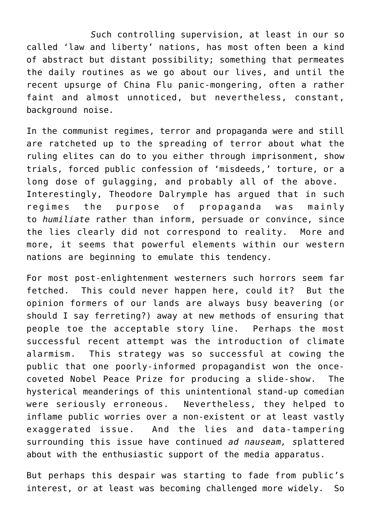*S*uch controlling supervision, at least in our so called 'law and liberty' nations, has most often been a kind of abstract but distant possibility; something that permeates the daily routines as we go about our lives, and until the recent upsurge of China Flu panic-mongering, often a rather faint and almost unnoticed, but nevertheless, constant, background noise.

In the communist regimes, terror and propaganda were and still are ratcheted up to the spreading of terror about what the ruling elites can do to you either through imprisonment, show trials, forced public confession of 'misdeeds,' torture, or a long dose of gulagging, and probably all of the above. Interestingly, Theodore Dalrymple has argued that in such regimes the purpose of propaganda was mainly to *humiliate* rather than inform, persuade or convince, since the lies clearly did not correspond to reality. More and more, it seems that powerful elements within our western nations are beginning to emulate this tendency.

For most post-enlightenment westerners such horrors seem far fetched. This could never happen here, could it? But the opinion formers of our lands are always busy beavering (or should I say ferreting?) away at new methods of ensuring that people toe the acceptable story line. Perhaps the most successful recent attempt was the introduction of climate alarmism. This strategy was so successful at cowing the public that one poorly-informed propagandist won the oncecoveted Nobel Peace Prize for producing a slide-show. The hysterical meanderings of this unintentional stand-up comedian were seriously erroneous. Nevertheless, they helped to inflame public worries over a non-existent or at least vastly exaggerated issue. And the lies and data-tampering surrounding this issue have continued *ad nauseam, s*plattered about with the enthusiastic support of the media apparatus.

But perhaps this despair was starting to fade from public's interest, or at least was becoming challenged more widely. So